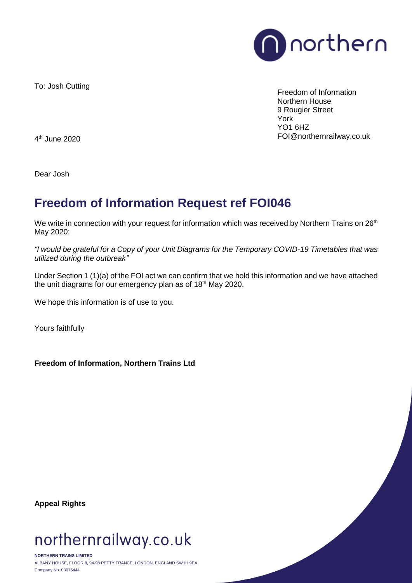

To: Josh Cutting

Freedom of Information Northern House 9 Rougier Street York YO1 6HZ FOI@northernrailway.co.uk

4 th June 2020

Dear Josh

## **Freedom of Information Request ref FOI046**

We write in connection with your request for information which was received by Northern Trains on 26<sup>th</sup> May 2020:

*"I would be grateful for a Copy of your Unit Diagrams for the Temporary COVID-19 Timetables that was utilized during the outbreak"*

Under Section 1 (1)(a) of the FOI act we can confirm that we hold this information and we have attached the unit diagrams for our emergency plan as of 18<sup>th</sup> May 2020.

We hope this information is of use to you.

Yours faithfully

**Freedom of Information, Northern Trains Ltd**

**Appeal Rights**

## northernrailway.co.uk

**NORTHERN TRAINS LIMITED** ALBANY HOUSE, FLOOR 8, 94-98 PETTY FRANCE, LONDON, ENGLAND SW1H 9EA Company No. 03076444